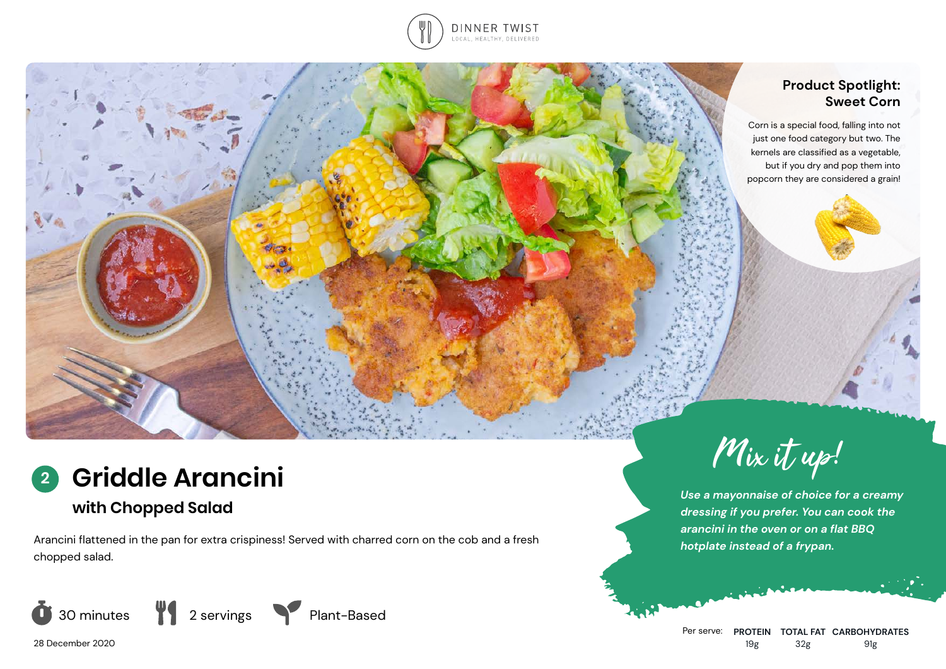

### **Product Spotlight: Sweet Corn**

Corn is a special food, falling into not just one food category but two. The kernels are classified as a vegetable, but if you dry and pop them into popcorn they are considered a grain!

# **Griddle Arancini 2**

# **with Chopped Salad**

Arancini flattened in the pan for extra crispiness! Served with charred corn on the cob and a fresh chopped salad.







Mix it up!

*Use a mayonnaise of choice for a creamy dressing if you prefer. You can cook the arancini in the oven or on a flat BBQ hotplate instead of a frypan.*